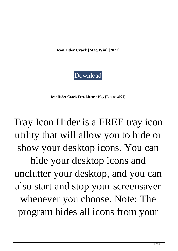**IconHider Crack [Mac/Win] [2022]**



**IconHider Crack Free License Key [Latest-2022]**

Tray Icon Hider is a FREE tray icon utility that will allow you to hide or show your desktop icons. You can hide your desktop icons and unclutter your desktop, and you can also start and stop your screensaver whenever you choose. Note: The program hides all icons from your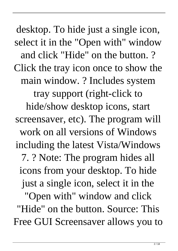desktop. To hide just a single icon, select it in the "Open with" window and click "Hide" on the button. ? Click the tray icon once to show the main window. ? Includes system tray support (right-click to hide/show desktop icons, start screensaver, etc). The program will work on all versions of Windows including the latest Vista/Windows 7. ? Note: The program hides all icons from your desktop. To hide just a single icon, select it in the "Open with" window and click "Hide" on the button. Source: This Free GUI Screensaver allows you to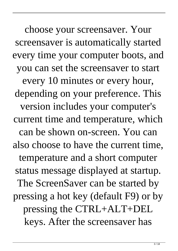choose your screensaver. Your screensaver is automatically started every time your computer boots, and you can set the screensaver to start every 10 minutes or every hour, depending on your preference. This version includes your computer's current time and temperature, which can be shown on-screen. You can also choose to have the current time, temperature and a short computer status message displayed at startup. The ScreenSaver can be started by pressing a hot key (default F9) or by pressing the CTRL+ALT+DEL keys. After the screensaver has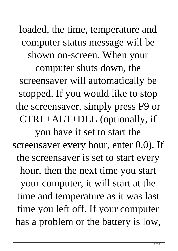loaded, the time, temperature and computer status message will be shown on-screen. When your computer shuts down, the screensaver will automatically be stopped. If you would like to stop the screensaver, simply press F9 or CTRL+ALT+DEL (optionally, if you have it set to start the screensaver every hour, enter 0.0). If the screensaver is set to start every hour, then the next time you start your computer, it will start at the time and temperature as it was last time you left off. If your computer has a problem or the battery is low,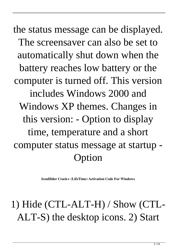the status message can be displayed. The screensaver can also be set to automatically shut down when the battery reaches low battery or the computer is turned off. This version includes Windows 2000 and Windows XP themes. Changes in this version: - Option to display time, temperature and a short computer status message at startup - Option

**IconHider Crack+ (LifeTime) Activation Code For Windows**

## 1) Hide (CTL-ALT-H) / Show (CTL-ALT-S) the desktop icons. 2) Start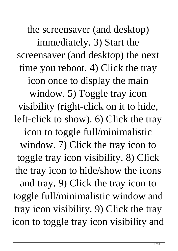the screensaver (and desktop) immediately. 3) Start the screensaver (and desktop) the next time you reboot. 4) Click the tray icon once to display the main window. 5) Toggle tray icon visibility (right-click on it to hide, left-click to show). 6) Click the tray icon to toggle full/minimalistic window. 7) Click the tray icon to toggle tray icon visibility. 8) Click the tray icon to hide/show the icons and tray. 9) Click the tray icon to toggle full/minimalistic window and tray icon visibility. 9) Click the tray icon to toggle tray icon visibility and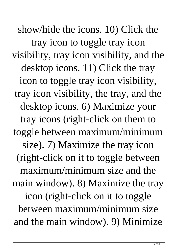show/hide the icons. 10) Click the tray icon to toggle tray icon visibility, tray icon visibility, and the desktop icons. 11) Click the tray icon to toggle tray icon visibility, tray icon visibility, the tray, and the desktop icons. 6) Maximize your tray icons (right-click on them to toggle between maximum/minimum size). 7) Maximize the tray icon (right-click on it to toggle between maximum/minimum size and the main window). 8) Maximize the tray icon (right-click on it to toggle between maximum/minimum size and the main window). 9) Minimize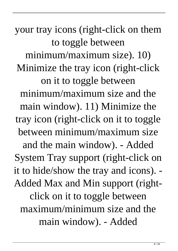your tray icons (right-click on them to toggle between minimum/maximum size). 10) Minimize the tray icon (right-click on it to toggle between minimum/maximum size and the main window). 11) Minimize the tray icon (right-click on it to toggle between minimum/maximum size and the main window). - Added System Tray support (right-click on it to hide/show the tray and icons). - Added Max and Min support (rightclick on it to toggle between maximum/minimum size and the main window). - Added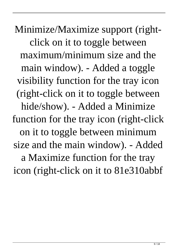Minimize/Maximize support (rightclick on it to toggle between maximum/minimum size and the main window). - Added a toggle visibility function for the tray icon (right-click on it to toggle between hide/show). - Added a Minimize function for the tray icon (right-click on it to toggle between minimum size and the main window). - Added a Maximize function for the tray icon (right-click on it to 81e310abbf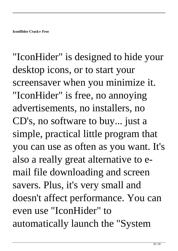"IconHider" is designed to hide your desktop icons, or to start your screensaver when you minimize it. "IconHider" is free, no annoying advertisements, no installers, no CD's, no software to buy... just a simple, practical little program that you can use as often as you want. It's also a really great alternative to email file downloading and screen savers. Plus, it's very small and doesn't affect performance. You can even use "IconHider" to automatically launch the "System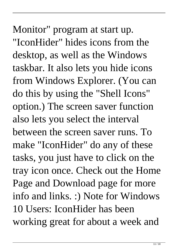Monitor" program at start up. "IconHider" hides icons from the desktop, as well as the Windows taskbar. It also lets you hide icons from Windows Explorer. (You can do this by using the "Shell Icons" option.) The screen saver function also lets you select the interval between the screen saver runs. To make "IconHider" do any of these tasks, you just have to click on the tray icon once. Check out the Home Page and Download page for more info and links. :) Note for Windows 10 Users: IconHider has been working great for about a week and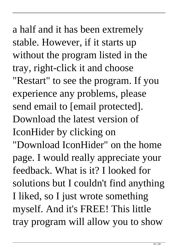a half and it has been extremely stable. However, if it starts up without the program listed in the tray, right-click it and choose "Restart" to see the program. If you experience any problems, please send email to [email protected]. Download the latest version of IconHider by clicking on "Download IconHider" on the home page. I would really appreciate your feedback. What is it? I looked for solutions but I couldn't find anything I liked, so I just wrote something myself. And it's FREE! This little tray program will allow you to show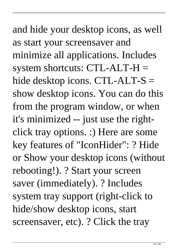## and hide your desktop icons, as well as start your screensaver and minimize all applications. Includes system shortcuts:  $CTL-ALT-H =$ hide desktop icons. CTL-ALT-S = show desktop icons. You can do this from the program window, or when

it's minimized -- just use the rightclick tray options. :) Here are some key features of "IconHider": ? Hide or Show your desktop icons (without rebooting!). ? Start your screen saver (immediately). ? Includes system tray support (right-click to hide/show desktop icons, start screensaver, etc). ? Click the tray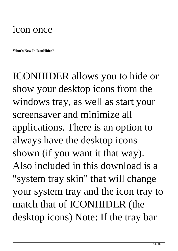## icon once

**What's New In IconHider?**

ICONHIDER allows you to hide or show your desktop icons from the windows tray, as well as start your screensaver and minimize all applications. There is an option to always have the desktop icons shown (if you want it that way). Also included in this download is a "system tray skin" that will change your system tray and the icon tray to match that of ICONHIDER (the desktop icons) Note: If the tray bar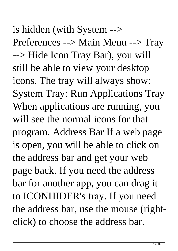is hidden (with System --> Preferences --> Main Menu --> Tray --> Hide Icon Tray Bar), you will still be able to view your desktop icons. The tray will always show: System Tray: Run Applications Tray When applications are running, you will see the normal icons for that program. Address Bar If a web page is open, you will be able to click on the address bar and get your web page back. If you need the address bar for another app, you can drag it to ICONHIDER's tray. If you need the address bar, use the mouse (rightclick) to choose the address bar.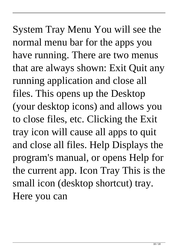System Tray Menu You will see the normal menu bar for the apps you have running. There are two menus that are always shown: Exit Quit any running application and close all files. This opens up the Desktop (your desktop icons) and allows you to close files, etc. Clicking the Exit tray icon will cause all apps to quit and close all files. Help Displays the program's manual, or opens Help for the current app. Icon Tray This is the small icon (desktop shortcut) tray. Here you can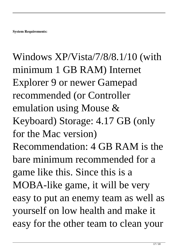Windows XP/Vista/7/8/8.1/10 (with minimum 1 GB RAM) Internet Explorer 9 or newer Gamepad recommended (or Controller emulation using Mouse & Keyboard) Storage: 4.17 GB (only for the Mac version) Recommendation: 4 GB RAM is the bare minimum recommended for a game like this. Since this is a MOBA-like game, it will be very easy to put an enemy team as well as yourself on low health and make it easy for the other team to clean your